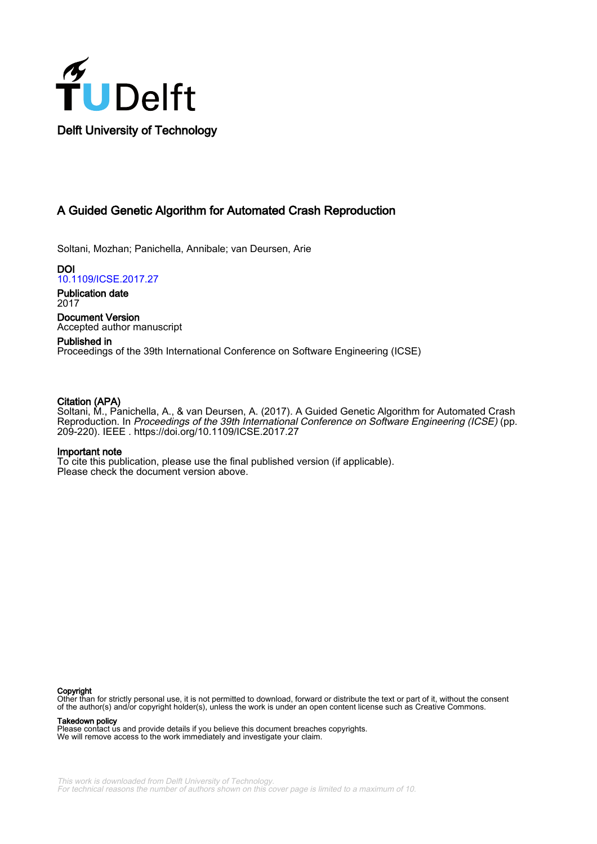

## A Guided Genetic Algorithm for Automated Crash Reproduction

Soltani, Mozhan; Panichella, Annibale; van Deursen, Arie

DOI [10.1109/ICSE.2017.27](https://doi.org/10.1109/ICSE.2017.27)

Publication date 2017

Document Version Accepted author manuscript

### Published in Proceedings of the 39th International Conference on Software Engineering (ICSE)

#### Citation (APA)

Soltani, M., Panichella, A., & van Deursen, A. (2017). A Guided Genetic Algorithm for Automated Crash Reproduction. In Proceedings of the 39th International Conference on Software Engineering (ICSE) (pp. 209-220). IEEE . <https://doi.org/10.1109/ICSE.2017.27>

#### Important note

To cite this publication, please use the final published version (if applicable). Please check the document version above.

#### Copyright

Other than for strictly personal use, it is not permitted to download, forward or distribute the text or part of it, without the consent of the author(s) and/or copyright holder(s), unless the work is under an open content license such as Creative Commons.

Takedown policy

Please contact us and provide details if you believe this document breaches copyrights. We will remove access to the work immediately and investigate your claim.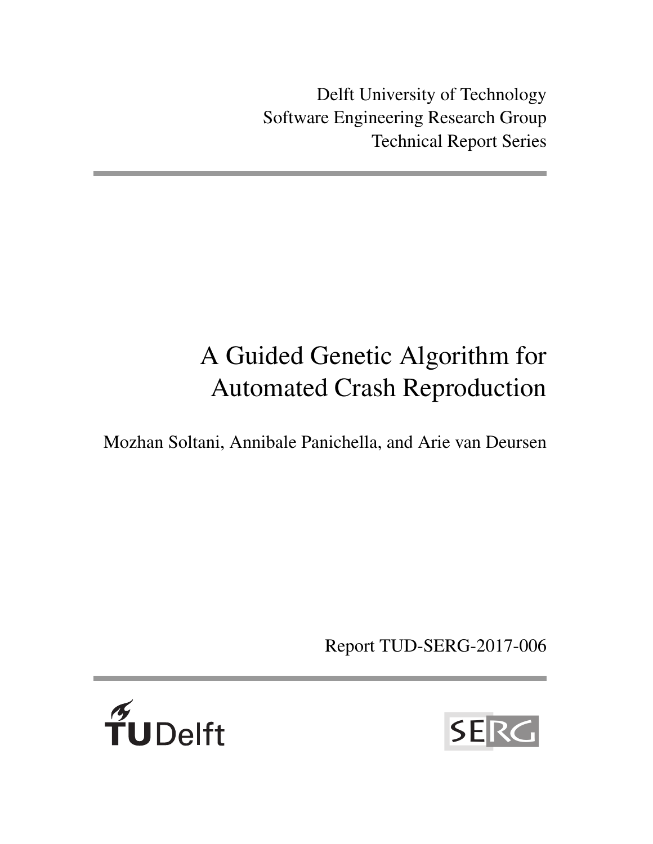Delft University of Technology Software Engineering Research Group Technical Report Series

# A Guided Genetic Algorithm for Automated Crash Reproduction

Mozhan Soltani, Annibale Panichella, and Arie van Deursen

Report TUD-SERG-2017-006



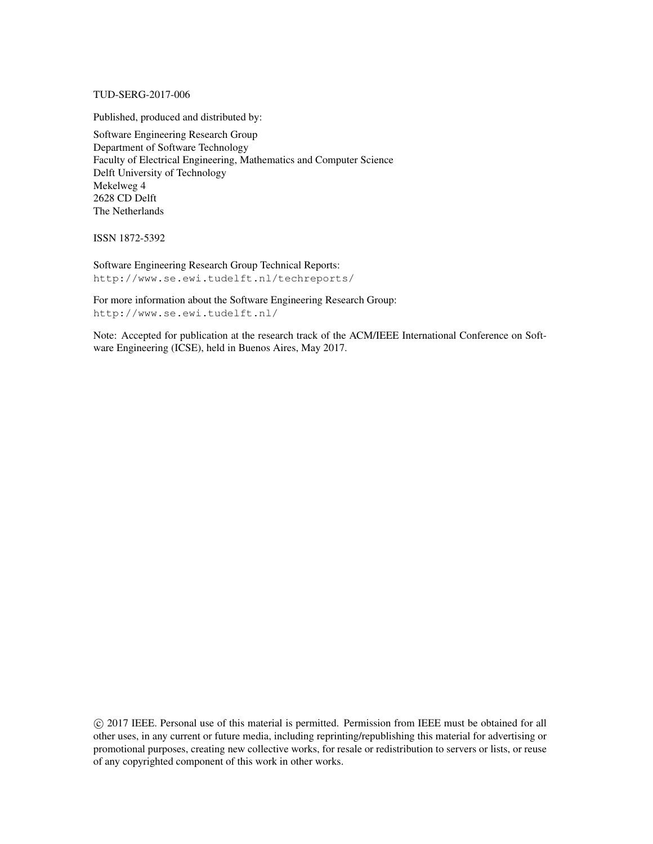TUD-SERG-2017-006

Published, produced and distributed by:

Software Engineering Research Group Department of Software Technology Faculty of Electrical Engineering, Mathematics and Computer Science Delft University of Technology Mekelweg 4 2628 CD Delft The Netherlands

ISSN 1872-5392

Software Engineering Research Group Technical Reports: http://www.se.ewi.tudelft.nl/techreports/

For more information about the Software Engineering Research Group: http://www.se.ewi.tudelft.nl/

Note: Accepted for publication at the research track of the ACM/IEEE International Conference on Software Engineering (ICSE), held in Buenos Aires, May 2017.

 c 2017 IEEE. Personal use of this material is permitted. Permission from IEEE must be obtained for all other uses, in any current or future media, including reprinting/republishing this material for advertising or promotional purposes, creating new collective works, for resale or redistribution to servers or lists, or reuse of any copyrighted component of this work in other works.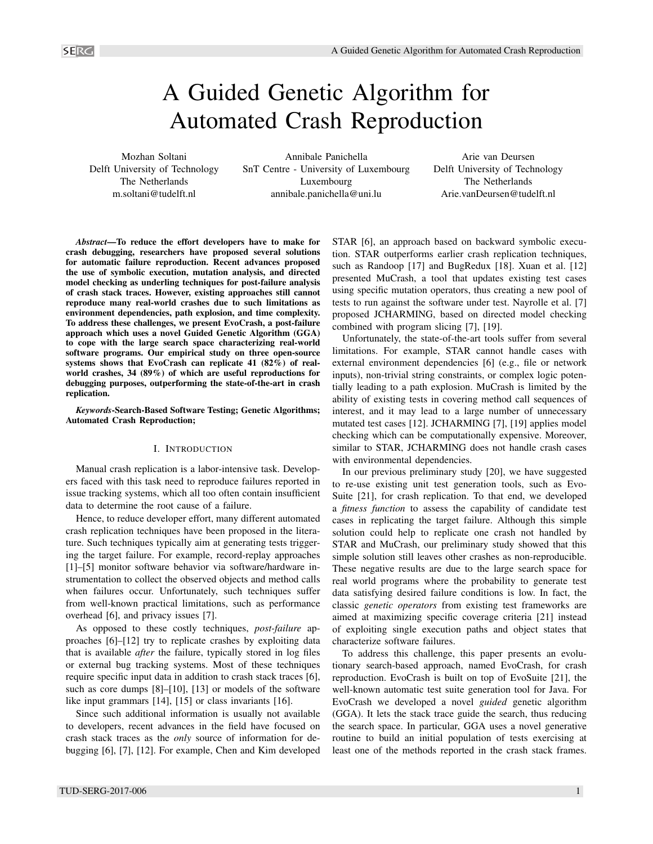# A Guided Genetic Algorithm for Automated Crash Reproduction

Mozhan Soltani Delft University of Technology The Netherlands m.soltani@tudelft.nl

Annibale Panichella SnT Centre - University of Luxembourg Luxembourg annibale.panichella@uni.lu

Arie van Deursen Delft University of Technology The Netherlands Arie.vanDeursen@tudelft.nl

*Abstract*—To reduce the effort developers have to make for crash debugging, researchers have proposed several solutions for automatic failure reproduction. Recent advances proposed the use of symbolic execution, mutation analysis, and directed model checking as underling techniques for post-failure analysis of crash stack traces. However, existing approaches still cannot reproduce many real-world crashes due to such limitations as environment dependencies, path explosion, and time complexity. To address these challenges, we present EvoCrash, a post-failure approach which uses a novel Guided Genetic Algorithm (GGA) to cope with the large search space characterizing real-world software programs. Our empirical study on three open-source systems shows that EvoCrash can replicate 41 (82%) of realworld crashes, 34 (89%) of which are useful reproductions for debugging purposes, outperforming the state-of-the-art in crash replication.

*Keywords*-Search-Based Software Testing; Genetic Algorithms; Automated Crash Reproduction;

#### I. INTRODUCTION

Manual crash replication is a labor-intensive task. Developers faced with this task need to reproduce failures reported in issue tracking systems, which all too often contain insufficient data to determine the root cause of a failure.

Hence, to reduce developer effort, many different automated crash replication techniques have been proposed in the literature. Such techniques typically aim at generating tests triggering the target failure. For example, record-replay approaches [1]–[5] monitor software behavior via software/hardware instrumentation to collect the observed objects and method calls when failures occur. Unfortunately, such techniques suffer from well-known practical limitations, such as performance overhead [6], and privacy issues [7].

As opposed to these costly techniques, *post-failure* approaches [6]–[12] try to replicate crashes by exploiting data that is available *after* the failure, typically stored in log files or external bug tracking systems. Most of these techniques require specific input data in addition to crash stack traces [6], such as core dumps [8]–[10], [13] or models of the software like input grammars [14], [15] or class invariants [16].

Since such additional information is usually not available to developers, recent advances in the field have focused on crash stack traces as the *only* source of information for debugging [6], [7], [12]. For example, Chen and Kim developed STAR [6], an approach based on backward symbolic execution. STAR outperforms earlier crash replication techniques, such as Randoop [17] and BugRedux [18]. Xuan et al. [12] presented MuCrash, a tool that updates existing test cases using specific mutation operators, thus creating a new pool of tests to run against the software under test. Nayrolle et al. [7] proposed JCHARMING, based on directed model checking combined with program slicing [7], [19].

Unfortunately, the state-of-the-art tools suffer from several limitations. For example, STAR cannot handle cases with external environment dependencies [6] (e.g., file or network inputs), non-trivial string constraints, or complex logic potentially leading to a path explosion. MuCrash is limited by the ability of existing tests in covering method call sequences of interest, and it may lead to a large number of unnecessary mutated test cases [12]. JCHARMING [7], [19] applies model checking which can be computationally expensive. Moreover, similar to STAR, JCHARMING does not handle crash cases with environmental dependencies.

In our previous preliminary study [20], we have suggested to re-use existing unit test generation tools, such as Evo-Suite [21], for crash replication. To that end, we developed a *fitness function* to assess the capability of candidate test cases in replicating the target failure. Although this simple solution could help to replicate one crash not handled by STAR and MuCrash, our preliminary study showed that this simple solution still leaves other crashes as non-reproducible. These negative results are due to the large search space for real world programs where the probability to generate test data satisfying desired failure conditions is low. In fact, the classic *genetic operators* from existing test frameworks are aimed at maximizing specific coverage criteria [21] instead of exploiting single execution paths and object states that characterize software failures.

To address this challenge, this paper presents an evolutionary search-based approach, named EvoCrash, for crash reproduction. EvoCrash is built on top of EvoSuite [21], the well-known automatic test suite generation tool for Java. For EvoCrash we developed a novel *guided* genetic algorithm (GGA). It lets the stack trace guide the search, thus reducing the search space. In particular, GGA uses a novel generative routine to build an initial population of tests exercising at least one of the methods reported in the crash stack frames.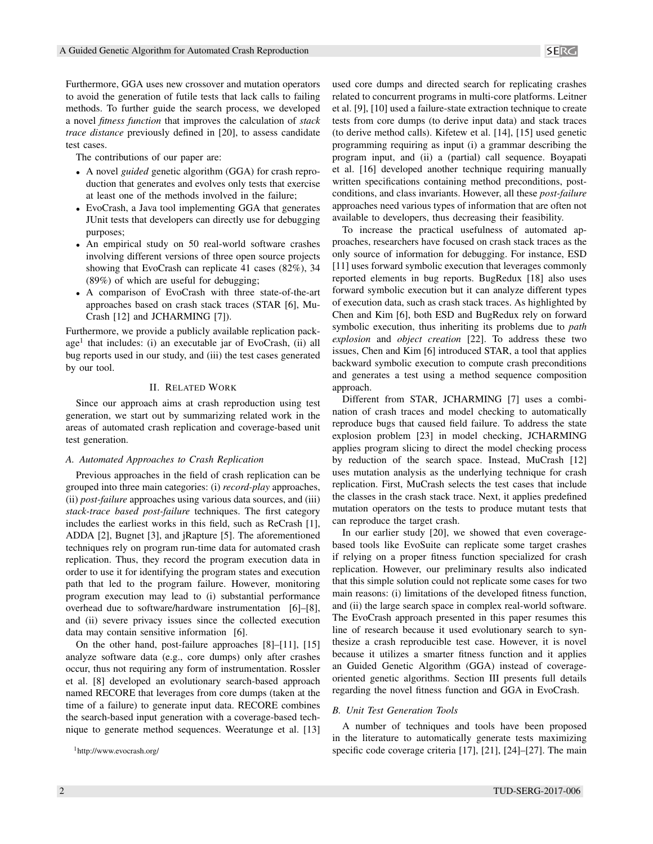Furthermore, GGA uses new crossover and mutation operators to avoid the generation of futile tests that lack calls to failing methods. To further guide the search process, we developed a novel *fitness function* that improves the calculation of *stack trace distance* previously defined in [20], to assess candidate test cases.

The contributions of our paper are:

- A novel *guided* genetic algorithm (GGA) for crash reproduction that generates and evolves only tests that exercise at least one of the methods involved in the failure;
- EvoCrash, a Java tool implementing GGA that generates JUnit tests that developers can directly use for debugging purposes;
- An empirical study on 50 real-world software crashes involving different versions of three open source projects showing that EvoCrash can replicate 41 cases (82%), 34 (89%) of which are useful for debugging;
- A comparison of EvoCrash with three state-of-the-art approaches based on crash stack traces (STAR [6], Mu-Crash [12] and JCHARMING [7]).

Furthermore, we provide a publicly available replication package<sup>1</sup> that includes: (i) an executable jar of EvoCrash, (ii) all bug reports used in our study, and (iii) the test cases generated by our tool.

#### II. RELATED WORK

Since our approach aims at crash reproduction using test generation, we start out by summarizing related work in the areas of automated crash replication and coverage-based unit test generation.

#### *A. Automated Approaches to Crash Replication*

Previous approaches in the field of crash replication can be grouped into three main categories: (i) *record-play* approaches, (ii) *post-failure* approaches using various data sources, and (iii) *stack-trace based post-failure* techniques. The first category includes the earliest works in this field, such as ReCrash [1], ADDA [2], Bugnet [3], and jRapture [5]. The aforementioned techniques rely on program run-time data for automated crash replication. Thus, they record the program execution data in order to use it for identifying the program states and execution path that led to the program failure. However, monitoring program execution may lead to (i) substantial performance overhead due to software/hardware instrumentation [6]–[8], and (ii) severe privacy issues since the collected execution data may contain sensitive information [6].

On the other hand, post-failure approaches [8]–[11], [15] analyze software data (e.g., core dumps) only after crashes occur, thus not requiring any form of instrumentation. Rossler et al. [8] developed an evolutionary search-based approach named RECORE that leverages from core dumps (taken at the time of a failure) to generate input data. RECORE combines the search-based input generation with a coverage-based technique to generate method sequences. Weeratunge et al. [13]

<sup>1</sup>http://www.evocrash.org/

used core dumps and directed search for replicating crashes related to concurrent programs in multi-core platforms. Leitner et al. [9], [10] used a failure-state extraction technique to create tests from core dumps (to derive input data) and stack traces (to derive method calls). Kifetew et al. [14], [15] used genetic programming requiring as input (i) a grammar describing the program input, and (ii) a (partial) call sequence. Boyapati et al. [16] developed another technique requiring manually written specifications containing method preconditions, postconditions, and class invariants. However, all these *post-failure* approaches need various types of information that are often not available to developers, thus decreasing their feasibility.

To increase the practical usefulness of automated approaches, researchers have focused on crash stack traces as the only source of information for debugging. For instance, ESD [11] uses forward symbolic execution that leverages commonly reported elements in bug reports. BugRedux [18] also uses forward symbolic execution but it can analyze different types of execution data, such as crash stack traces. As highlighted by Chen and Kim [6], both ESD and BugRedux rely on forward symbolic execution, thus inheriting its problems due to *path explosion* and *object creation* [22]. To address these two issues, Chen and Kim [6] introduced STAR, a tool that applies backward symbolic execution to compute crash preconditions and generates a test using a method sequence composition approach.

Different from STAR, JCHARMING [7] uses a combination of crash traces and model checking to automatically reproduce bugs that caused field failure. To address the state explosion problem [23] in model checking, JCHARMING applies program slicing to direct the model checking process by reduction of the search space. Instead, MuCrash [12] uses mutation analysis as the underlying technique for crash replication. First, MuCrash selects the test cases that include the classes in the crash stack trace. Next, it applies predefined mutation operators on the tests to produce mutant tests that can reproduce the target crash.

In our earlier study [20], we showed that even coveragebased tools like EvoSuite can replicate some target crashes if relying on a proper fitness function specialized for crash replication. However, our preliminary results also indicated that this simple solution could not replicate some cases for two main reasons: (i) limitations of the developed fitness function, and (ii) the large search space in complex real-world software. The EvoCrash approach presented in this paper resumes this line of research because it used evolutionary search to synthesize a crash reproducible test case. However, it is novel because it utilizes a smarter fitness function and it applies an Guided Genetic Algorithm (GGA) instead of coverageoriented genetic algorithms. Section III presents full details regarding the novel fitness function and GGA in EvoCrash.

#### *B. Unit Test Generation Tools*

A number of techniques and tools have been proposed in the literature to automatically generate tests maximizing specific code coverage criteria [17], [21], [24]–[27]. The main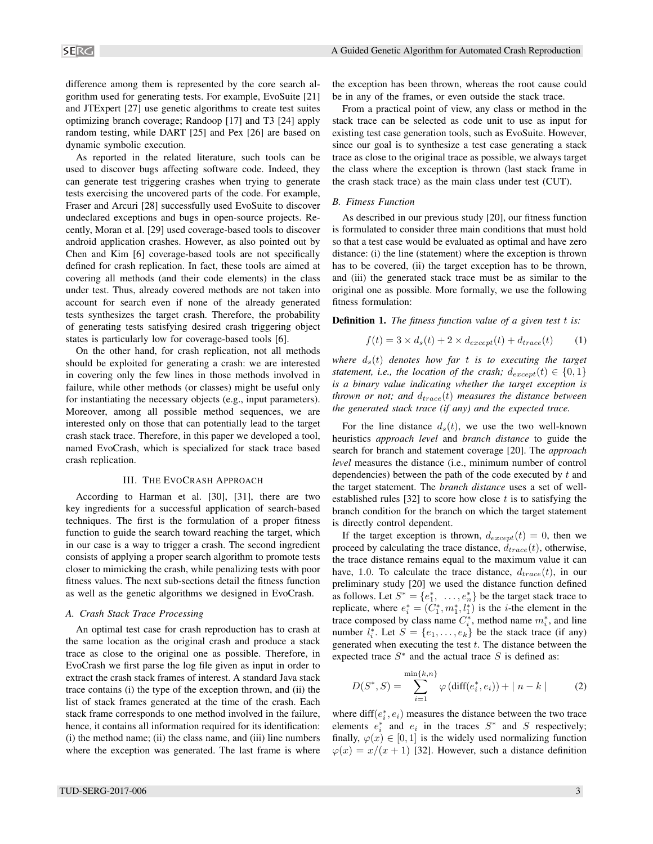difference among them is represented by the core search algorithm used for generating tests. For example, EvoSuite [21] and JTExpert [27] use genetic algorithms to create test suites optimizing branch coverage; Randoop [17] and T3 [24] apply random testing, while DART [25] and Pex [26] are based on dynamic symbolic execution.

As reported in the related literature, such tools can be used to discover bugs affecting software code. Indeed, they can generate test triggering crashes when trying to generate tests exercising the uncovered parts of the code. For example, Fraser and Arcuri [28] successfully used EvoSuite to discover undeclared exceptions and bugs in open-source projects. Recently, Moran et al. [29] used coverage-based tools to discover android application crashes. However, as also pointed out by Chen and Kim [6] coverage-based tools are not specifically defined for crash replication. In fact, these tools are aimed at covering all methods (and their code elements) in the class under test. Thus, already covered methods are not taken into account for search even if none of the already generated tests synthesizes the target crash. Therefore, the probability of generating tests satisfying desired crash triggering object states is particularly low for coverage-based tools [6].

On the other hand, for crash replication, not all methods should be exploited for generating a crash: we are interested in covering only the few lines in those methods involved in failure, while other methods (or classes) might be useful only for instantiating the necessary objects (e.g., input parameters). Moreover, among all possible method sequences, we are interested only on those that can potentially lead to the target crash stack trace. Therefore, in this paper we developed a tool, named EvoCrash, which is specialized for stack trace based crash replication.

#### III. THE EVOCRASH APPROACH

According to Harman et al. [30], [31], there are two key ingredients for a successful application of search-based techniques. The first is the formulation of a proper fitness function to guide the search toward reaching the target, which in our case is a way to trigger a crash. The second ingredient consists of applying a proper search algorithm to promote tests closer to mimicking the crash, while penalizing tests with poor fitness values. The next sub-sections detail the fitness function as well as the genetic algorithms we designed in EvoCrash.

#### *A. Crash Stack Trace Processing*

An optimal test case for crash reproduction has to crash at the same location as the original crash and produce a stack trace as close to the original one as possible. Therefore, in EvoCrash we first parse the log file given as input in order to extract the crash stack frames of interest. A standard Java stack trace contains (i) the type of the exception thrown, and (ii) the list of stack frames generated at the time of the crash. Each stack frame corresponds to one method involved in the failure, hence, it contains all information required for its identification: (i) the method name; (ii) the class name, and (iii) line numbers where the exception was generated. The last frame is where the exception has been thrown, whereas the root cause could be in any of the frames, or even outside the stack trace.

From a practical point of view, any class or method in the stack trace can be selected as code unit to use as input for existing test case generation tools, such as EvoSuite. However, since our goal is to synthesize a test case generating a stack trace as close to the original trace as possible, we always target the class where the exception is thrown (last stack frame in the crash stack trace) as the main class under test (CUT).

#### *B. Fitness Function*

As described in our previous study [20], our fitness function is formulated to consider three main conditions that must hold so that a test case would be evaluated as optimal and have zero distance: (i) the line (statement) where the exception is thrown has to be covered, (ii) the target exception has to be thrown, and (iii) the generated stack trace must be as similar to the original one as possible. More formally, we use the following fitness formulation:

Definition 1. *The fitness function value of a given test* t *is:*

$$
f(t) = 3 \times d_s(t) + 2 \times d_{except}(t) + d_{trace}(t)
$$
 (1)

*where*  $d_s(t)$  *denotes how far t is to executing the target statement, i.e., the location of the crash;*  $d_{except}(t) \in \{0, 1\}$ *is a binary value indicating whether the target exception is thrown or not; and*  $d_{trace}(t)$  *measures the distance between the generated stack trace (if any) and the expected trace.*

For the line distance  $d_s(t)$ , we use the two well-known heuristics *approach level* and *branch distance* to guide the search for branch and statement coverage [20]. The *approach level* measures the distance (i.e., minimum number of control dependencies) between the path of the code executed by  $t$  and the target statement. The *branch distance* uses a set of wellestablished rules [32] to score how close  $t$  is to satisfying the branch condition for the branch on which the target statement is directly control dependent.

If the target exception is thrown,  $d_{except}(t) = 0$ , then we proceed by calculating the trace distance,  $d_{trace}(t)$ , otherwise, the trace distance remains equal to the maximum value it can have, 1.0. To calculate the trace distance,  $d_{trace}(t)$ , in our preliminary study [20] we used the distance function defined as follows. Let  $S^* = \{e_1^*, \ldots, e_n^*\}$  be the target stack trace to replicate, where  $e_i^* = (C_1^*, m_1^*, l_1^*)$  is the *i*-the element in the trace composed by class name  $C_i^*$ , method name  $m_i^*$ , and line number  $l_i^*$ . Let  $S = \{e_1, \ldots, e_k\}$  be the stack trace (if any) generated when executing the test  $t$ . The distance between the expected trace  $S^*$  and the actual trace S is defined as:

$$
D(S^*, S) = \sum_{i=1}^{\min\{k, n\}} \varphi\left(\text{diff}(e_i^*, e_i)\right) + |n - k| \tag{2}
$$

where  $diff(e_i^*, e_i)$  measures the distance between the two trace elements  $e_i^*$  and  $e_i$  in the traces  $S^*$  and S respectively; finally,  $\varphi(x) \in [0, 1]$  is the widely used normalizing function  $\varphi(x) = x/(x+1)$  [32]. However, such a distance definition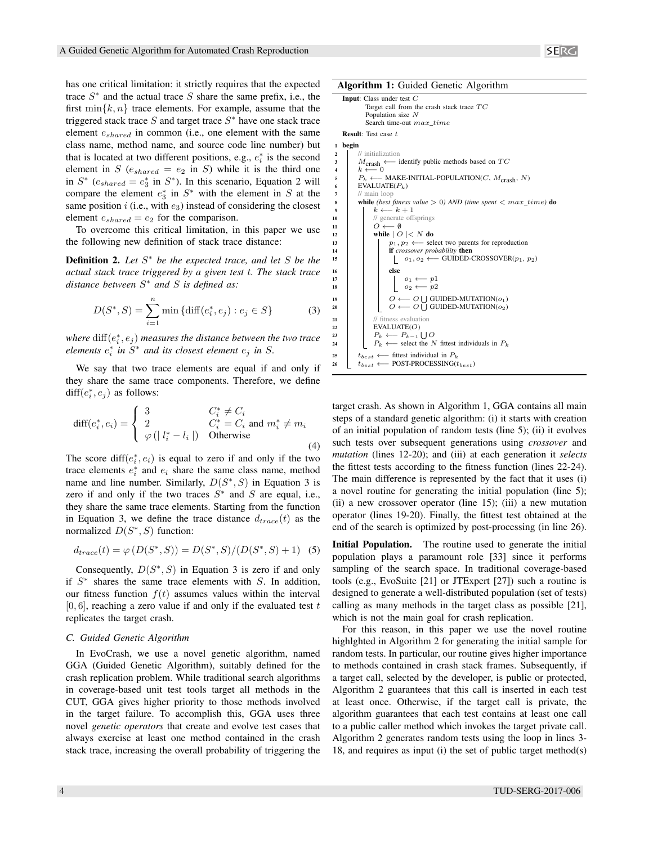has one critical limitation: it strictly requires that the expected trace  $S^*$  and the actual trace S share the same prefix, i.e., the first  $\min\{k, n\}$  trace elements. For example, assume that the triggered stack trace  $S$  and target trace  $S^*$  have one stack trace element eshared in common (i.e., one element with the same class name, method name, and source code line number) but that is located at two different positions, e.g.,  $e_i^*$  is the second element in S  $(e_{shared} = e_2 \text{ in } S)$  while it is the third one in  $S^*$  ( $e_{shared} = e_3^*$  in  $S^*$ ). In this scenario, Equation 2 will compare the element  $e_3^*$  in  $S^*$  with the element in S at the same position  $i$  (i.e., with  $e_3$ ) instead of considering the closest element  $e_{shared} = e_2$  for the comparison.

To overcome this critical limitation, in this paper we use the following new definition of stack trace distance:

Definition 2. *Let* S <sup>∗</sup> *be the expected trace, and let* S *be the actual stack trace triggered by a given test* t*. The stack trace distance between* S <sup>∗</sup> *and* S *is defined as:*

$$
D(S^*, S) = \sum_{i=1}^{n} \min \{ \text{diff}(e_i^*, e_j) : e_j \in S \}
$$
 (3)

where  $\mathrm{diff}(e_i^*,e_j)$  measures the distance between the two trace  $e$ *lements*  $e_i^*$  *in*  $S^*$  *and its closest element*  $e_j$  *in*  $S$ *.* 

We say that two trace elements are equal if and only if they share the same trace components. Therefore, we define diff $(e_i^*, e_j)$  as follows:

$$
\text{diff}(e_i^*, e_i) = \begin{cases} 3 & C_i^* \neq C_i \\ 2 & C_i^* = C_i \text{ and } m_i^* \neq m_i \\ \varphi \left( | l_i^* - l_i | \right) & \text{Otherwise} \end{cases} \tag{4}
$$

The score diff( $e_i^*$ ,  $e_i$ ) is equal to zero if and only if the two trace elements  $e_i^*$  and  $e_i$  share the same class name, method name and line number. Similarly,  $D(S^*,S)$  in Equation 3 is zero if and only if the two traces  $S^*$  and S are equal, i.e., they share the same trace elements. Starting from the function in Equation 3, we define the trace distance  $d_{trace}(t)$  as the normalized  $D(S^*, S)$  function:

$$
d_{trace}(t) = \varphi(D(S^*, S)) = D(S^*, S)/(D(S^*, S) + 1)
$$
 (5)

Consequently,  $D(S^*, S)$  in Equation 3 is zero if and only if  $S^*$  shares the same trace elements with  $S$ . In addition, our fitness function  $f(t)$  assumes values within the interval  $[0, 6]$ , reaching a zero value if and only if the evaluated test t replicates the target crash.

#### *C. Guided Genetic Algorithm*

In EvoCrash, we use a novel genetic algorithm, named GGA (Guided Genetic Algorithm), suitably defined for the crash replication problem. While traditional search algorithms in coverage-based unit test tools target all methods in the CUT, GGA gives higher priority to those methods involved in the target failure. To accomplish this, GGA uses three novel *genetic operators* that create and evolve test cases that always exercise at least one method contained in the crash stack trace, increasing the overall probability of triggering the

Algorithm 1: Guided Genetic Algorithm

```
Input: Class under test C
                 Target call from the crash stack trace TCPopulation size N
                 Search time-out max\_timeResult: Test case t
     begin
 2 // initialization<br>3 M_{\text{orob}} \leftarrow\begin{array}{c|c}\n3 & M_{\text{crash}} \leftarrow \text{identity public methods based on } TC \\
\hline\nk \leftarrow 0\n\end{array}5 P<sub>k</sub> ← MAKE-INITIAL-POPULATION(C, M_{\text{crash}}, N)<br>6 EVALUATE(P_k)
  6 EVALUATE(P_k)<br>
\frac{1}{\sqrt{m}} main loop
             // main loop
  8 while (best fitness value > 0) AND (time spent < max\_time) do
 9 k \leftarrow k+1<br>10 // generate of
10 // generate offsprings<br>11 // Q \leftarrow \emptyset11 O \leftarrow \emptyset<br>12 while \cup12 while |O| < N do<br>
|D_1, D_2 \leftarrow sel
13 p<sub>1</sub>, p_2 \leftarrow select two parents for reproduction<br>
if crossover probability then
14 if crossover probability then<br>
\begin{array}{|c|c|c|c|c|c|} \hline \textbf{if} & \textbf{c} & \textbf{c} & \textbf{c} \\ \hline \textbf{15} & 0 & 0 & \textbf{c} & \textbf{c} \\ \hline \end{array}\downarrow o<sub>1</sub>, o<sub>2</sub> ← GUIDED-CROSSOVER(p<sub>1</sub>, p<sub>2</sub>)
16 else
 \begin{array}{|c|c|c|c|}\n\hline\n117 & 18 & 0_1 & \cdots & p1 \\
\hline\n18 & 0_2 & \cdots & p2\n\end{array}19 \begin{array}{|c|c|c|c|c|c|}\n\hline\n0 & \leftarrow O \bigcup \text{GUIDED-MUTATION}(o_1) \\
\hline\n\end{array}20 \bigcup O ← O \bigcup GUIDED-MUTATION(o_2)
21 // fitness evaluation
22 EVALUATE(O)
 23 P_k \leftarrow P_{k-1} \cup O24 Pk ← select the N fittest individuals in P_k25 t_{best} \leftarrow fittest individual in P_k<br>26 t_{best} \leftarrow POST-PROCESSING(t
             t_{best} \longleftarrow POST-PROCESSING(t_{best})
```
target crash. As shown in Algorithm 1, GGA contains all main steps of a standard genetic algorithm: (i) it starts with creation of an initial population of random tests (line 5); (ii) it evolves such tests over subsequent generations using *crossover* and *mutation* (lines 12-20); and (iii) at each generation it *selects* the fittest tests according to the fitness function (lines 22-24). The main difference is represented by the fact that it uses (i) a novel routine for generating the initial population (line 5); (ii) a new crossover operator (line 15); (iii) a new mutation operator (lines 19-20). Finally, the fittest test obtained at the end of the search is optimized by post-processing (in line 26).

Initial Population. The routine used to generate the initial population plays a paramount role [33] since it performs sampling of the search space. In traditional coverage-based tools (e.g., EvoSuite [21] or JTExpert [27]) such a routine is designed to generate a well-distributed population (set of tests) calling as many methods in the target class as possible [21], which is not the main goal for crash replication.

For this reason, in this paper we use the novel routine highlghted in Algorithm 2 for generating the initial sample for random tests. In particular, our routine gives higher importance to methods contained in crash stack frames. Subsequently, if a target call, selected by the developer, is public or protected, Algorithm 2 guarantees that this call is inserted in each test at least once. Otherwise, if the target call is private, the algorithm guarantees that each test contains at least one call to a public caller method which invokes the target private call. Algorithm 2 generates random tests using the loop in lines 3- 18, and requires as input (i) the set of public target method(s)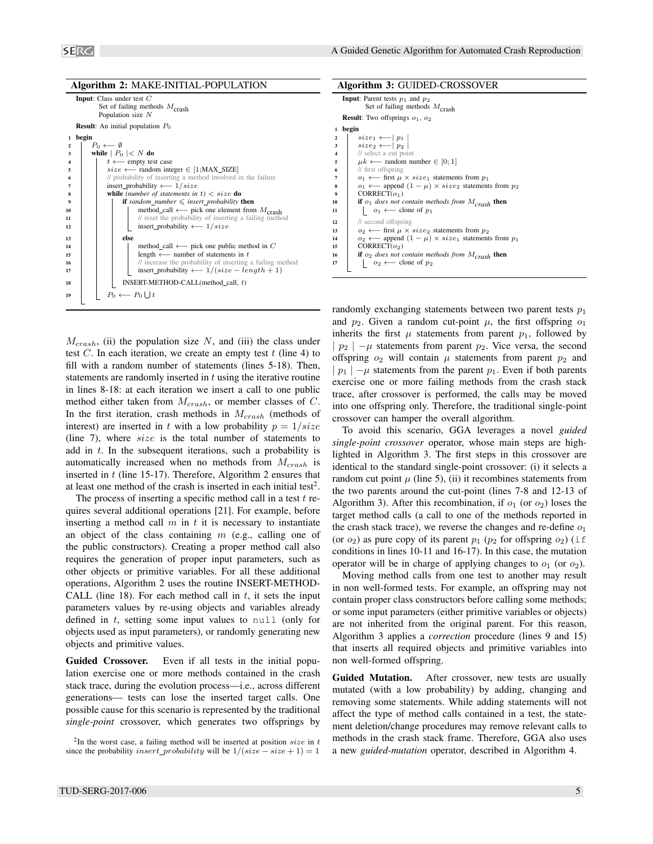|                         | <b>Algorithm 2: MAKE-INITIAL-POPULATION</b>                                                            |  |  |  |  |
|-------------------------|--------------------------------------------------------------------------------------------------------|--|--|--|--|
|                         | <b>Input:</b> Class under test $C$<br>Set of failing methods $M_{\text{crash}}$<br>Population size $N$ |  |  |  |  |
|                         | <b>Result:</b> An initial population $P_0$                                                             |  |  |  |  |
| 1                       | begin                                                                                                  |  |  |  |  |
| 2                       | $P_0 \leftarrow \emptyset$                                                                             |  |  |  |  |
| 3                       | while $ P_0  < N$ do                                                                                   |  |  |  |  |
| $\overline{\mathbf{4}}$ | $t \leftarrow$ empty test case                                                                         |  |  |  |  |
| 5                       | $size \longleftarrow$ random integer $\in$ [1;MAX_SIZE]                                                |  |  |  |  |
| 6                       | // probability of inserting a method involved in the failure                                           |  |  |  |  |
| 7                       | insert_probability $\longleftarrow$ 1/size                                                             |  |  |  |  |
| 8                       | while (number of statements in $t$ ) $\lt$ size do                                                     |  |  |  |  |
| 9                       | <b>if</b> random_number $\leq$ insert_probability <b>then</b>                                          |  |  |  |  |
| 10                      | method_call $\longleftarrow$ pick one element from $M_{\text{crash}}$                                  |  |  |  |  |
| 11                      | // reset the probability of inserting a failing method                                                 |  |  |  |  |
| 12                      | insert_probability $\longleftarrow 1/size$                                                             |  |  |  |  |
| 13                      | else                                                                                                   |  |  |  |  |
| 14                      | method_call $\longleftarrow$ pick one public method in C                                               |  |  |  |  |
| 15                      | length $\longleftarrow$ number of statements in t                                                      |  |  |  |  |
| 16                      | // increase the probability of inserting a failing method                                              |  |  |  |  |
| 17                      | insert_probability $\longleftarrow 1/(size - length + 1)$                                              |  |  |  |  |
| 18                      | INSERT-METHOD-CALL(method_call, t)                                                                     |  |  |  |  |
| 19                      | $P_0 \leftarrow P_0 \cup t$                                                                            |  |  |  |  |
|                         |                                                                                                        |  |  |  |  |

 $M_{crash}$ , (ii) the population size N, and (iii) the class under test C. In each iteration, we create an empty test  $t$  (line 4) to fill with a random number of statements (lines 5-18). Then, statements are randomly inserted in  $t$  using the iterative routine in lines 8-18: at each iteration we insert a call to one public method either taken from  $M_{crash}$ , or member classes of C. In the first iteration, crash methods in  $M_{crash}$  (methods of interest) are inserted in t with a low probability  $p = 1/size$ (line 7), where size is the total number of statements to add in  $t$ . In the subsequent iterations, such a probability is automatically increased when no methods from  $M_{crash}$  is inserted in  $t$  (line 15-17). Therefore, Algorithm 2 ensures that at least one method of the crash is inserted in each initial test<sup>2</sup>.

The process of inserting a specific method call in a test  $t$  requires several additional operations [21]. For example, before inserting a method call  $m$  in  $t$  it is necessary to instantiate an object of the class containing  $m$  (e.g., calling one of the public constructors). Creating a proper method call also requires the generation of proper input parameters, such as other objects or primitive variables. For all these additional operations, Algorithm 2 uses the routine INSERT-METHOD-CALL (line 18). For each method call in  $t$ , it sets the input parameters values by re-using objects and variables already defined in t, setting some input values to null (only for objects used as input parameters), or randomly generating new objects and primitive values.

Guided Crossover. Even if all tests in the initial population exercise one or more methods contained in the crash stack trace, during the evolution process—i.e., across different generations— tests can lose the inserted target calls. One possible cause for this scenario is represented by the traditional *single-point* crossover, which generates two offsprings by

|                         | Algorithm 3: GUIDED-CROSSOVER                                                    |  |  |
|-------------------------|----------------------------------------------------------------------------------|--|--|
|                         | <b>Input:</b> Parent tests $p_1$ and $p_2$<br>Set of failing methods $M_{crash}$ |  |  |
|                         | <b>Result:</b> Two offsprings $o_1$ , $o_2$                                      |  |  |
| 1                       | begin                                                                            |  |  |
| $\overline{\mathbf{c}}$ | $size_1 \longleftarrow   p_1  $                                                  |  |  |
| 3                       | $size_2 \longleftarrow  p_2 $                                                    |  |  |
| $\overline{4}$          | // select a cut point                                                            |  |  |
| 5                       | $\mu k \longleftarrow$ random number $\in [0; 1]$                                |  |  |
| 6                       | // first offspring                                                               |  |  |
| 7                       | $o_1 \leftarrow$ first $\mu \times size_1$ statements from $p_1$                 |  |  |
| 8                       | $o_1 \longleftarrow$ append $(1 - \mu) \times size_2$ statements from $p_2$      |  |  |
| 9                       | CORRECT(o <sub>1</sub> )                                                         |  |  |
| 10                      | if $o_1$ does not contain methods from $M_{crash}$ then                          |  |  |
| 11                      | $o_1 \longleftarrow$ clone of $p_1$                                              |  |  |
| 12                      | // second offspring                                                              |  |  |
| 13                      | $o_2 \leftarrow$ first $\mu \times size_2$ statements from $p_2$                 |  |  |
| 14                      | $o_2 \leftarrow$ append $(1 - \mu) \times size_1$ statements from $p_1$          |  |  |
| 15                      | CORRECT(o <sub>2</sub> )                                                         |  |  |
| 16                      | if $o_2$ does not contain methods from $M_{crash}$ then                          |  |  |
| 17                      | $o_2 \longleftarrow$ clone of $p_2$                                              |  |  |

randomly exchanging statements between two parent tests  $p_1$ and  $p_2$ . Given a random cut-point  $\mu$ , the first offspring  $o_1$ inherits the first  $\mu$  statements from parent  $p_1$ , followed by |  $p_2$  | − $\mu$  statements from parent  $p_2$ . Vice versa, the second offspring  $o_2$  will contain  $\mu$  statements from parent  $p_2$  and  $|p_1| - \mu$  statements from the parent  $p_1$ . Even if both parents exercise one or more failing methods from the crash stack trace, after crossover is performed, the calls may be moved into one offspring only. Therefore, the traditional single-point crossover can hamper the overall algorithm.

To avoid this scenario, GGA leverages a novel *guided single-point crossover* operator, whose main steps are highlighted in Algorithm 3. The first steps in this crossover are identical to the standard single-point crossover: (i) it selects a random cut point  $\mu$  (line 5), (ii) it recombines statements from the two parents around the cut-point (lines 7-8 and 12-13 of Algorithm 3). After this recombination, if  $o_1$  (or  $o_2$ ) loses the target method calls (a call to one of the methods reported in the crash stack trace), we reverse the changes and re-define  $o_1$ (or  $o_2$ ) as pure copy of its parent  $p_1$  ( $p_2$  for offspring  $o_2$ ) (if conditions in lines 10-11 and 16-17). In this case, the mutation operator will be in charge of applying changes to  $o_1$  (or  $o_2$ ).

Moving method calls from one test to another may result in non well-formed tests. For example, an offspring may not contain proper class constructors before calling some methods; or some input parameters (either primitive variables or objects) are not inherited from the original parent. For this reason, Algorithm 3 applies a *correction* procedure (lines 9 and 15) that inserts all required objects and primitive variables into non well-formed offspring.

Guided Mutation. After crossover, new tests are usually mutated (with a low probability) by adding, changing and removing some statements. While adding statements will not affect the type of method calls contained in a test, the statement deletion/change procedures may remove relevant calls to methods in the crash stack frame. Therefore, GGA also uses a new *guided-mutation* operator, described in Algorithm 4.

<sup>&</sup>lt;sup>2</sup>In the worst case, a failing method will be inserted at position  $size$  in t since the probability insert\_probability will be  $1/(size - size + 1) = 1$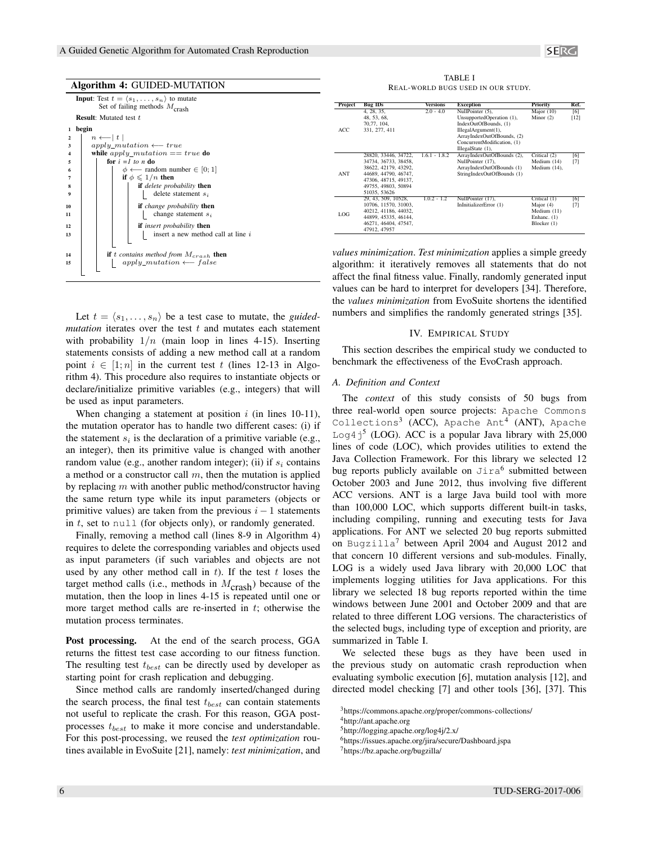|                         | <b>Algorithm 4: GUIDED-MUTATION</b>                                                                       |  |  |  |
|-------------------------|-----------------------------------------------------------------------------------------------------------|--|--|--|
|                         | <b>Input:</b> Test $t = \langle s_1, \ldots, s_n \rangle$ to mutate<br>Set of failing methods $M_{crash}$ |  |  |  |
|                         | <b>Result:</b> Mutated test t                                                                             |  |  |  |
| 1                       | begin                                                                                                     |  |  |  |
| $\overline{2}$          | $n \leftarrow  t $                                                                                        |  |  |  |
| 3                       | $apply\_mutation \longleftarrow true$                                                                     |  |  |  |
| $\overline{\mathbf{4}}$ | while $apply\_mutation == true$ do                                                                        |  |  |  |
| 5                       | for $i = 1$ to n do                                                                                       |  |  |  |
| 6                       | $\phi \longleftarrow$ random number $\in [0;1]$                                                           |  |  |  |
| 7                       | if $\phi \leqslant 1/n$ then                                                                              |  |  |  |
| 8                       | <b>if</b> delete probability <b>then</b>                                                                  |  |  |  |
| 9                       | delete statement $s_i$                                                                                    |  |  |  |
| 10                      | <b>if</b> change probability <b>then</b>                                                                  |  |  |  |
| 11                      | change statement $s_i$                                                                                    |  |  |  |
| 12                      | <b>if</b> insert probability <b>then</b>                                                                  |  |  |  |
| 13                      | insert a new method call at line i                                                                        |  |  |  |
|                         |                                                                                                           |  |  |  |
| 14                      | <b>if</b> t contains method from $M_{crash}$ then                                                         |  |  |  |
| 15                      | $apply\_mutation \longleftarrow false$                                                                    |  |  |  |
|                         |                                                                                                           |  |  |  |

Let  $t = \langle s_1, \ldots, s_n \rangle$  be a test case to mutate, the *guided* $mutation$  iterates over the test  $t$  and mutates each statement with probability  $1/n$  (main loop in lines 4-15). Inserting statements consists of adding a new method call at a random point  $i \in [1; n]$  in the current test t (lines 12-13 in Algorithm 4). This procedure also requires to instantiate objects or declare/initialize primitive variables (e.g., integers) that will be used as input parameters.

When changing a statement at position  $i$  (in lines 10-11), the mutation operator has to handle two different cases: (i) if the statement  $s_i$  is the declaration of a primitive variable (e.g., an integer), then its primitive value is changed with another random value (e.g., another random integer); (ii) if  $s_i$  contains a method or a constructor call  $m$ , then the mutation is applied by replacing  $m$  with another public method/constructor having the same return type while its input parameters (objects or primitive values) are taken from the previous  $i - 1$  statements in  $t$ , set to null (for objects only), or randomly generated.

Finally, removing a method call (lines 8-9 in Algorithm 4) requires to delete the corresponding variables and objects used as input parameters (if such variables and objects are not used by any other method call in  $t$ ). If the test  $t$  loses the target method calls (i.e., methods in  $M_{\text{crash}}$ ) because of the mutation, then the loop in lines 4-15 is repeated until one or more target method calls are re-inserted in  $t$ ; otherwise the mutation process terminates.

Post processing. At the end of the search process, GGA returns the fittest test case according to our fitness function. The resulting test  $t_{best}$  can be directly used by developer as starting point for crash replication and debugging.

Since method calls are randomly inserted/changed during the search process, the final test  $t_{best}$  can contain statements not useful to replicate the crash. For this reason, GGA postprocesses  $t_{best}$  to make it more concise and understandable. For this post-processing, we reused the *test optimization* routines available in EvoSuite [21], namely: *test minimization*, and

TABLE I REAL-WORLD BUGS USED IN OUR STUDY.

| Project | <b>Bug IDs</b>       | Versions        | <b>Exception</b>            | Priority      | Ref.   |
|---------|----------------------|-----------------|-----------------------------|---------------|--------|
|         | 4, 28, 35,           | $2.0 - 4.0$     | NullPointer (5).            | Major $(10)$  | [6]    |
|         | 48.53.68.            |                 | UnsupportedOperation (1),   | Minor $(2)$   | $[12]$ |
|         | 70.77, 104,          |                 | IndexOutOfBounds. (1)       |               |        |
| ACC     | 331, 277, 411        |                 | IllegalArgument(1),         |               |        |
|         |                      |                 | ArrayIndexOutOfBounds, (2)  |               |        |
|         |                      |                 | ConcurrentModification, (1) |               |        |
|         |                      |                 | IllegalState (1),           |               |        |
|         | 28820, 33446, 34722. | $1.6.1 - 1.8.2$ | ArrayIndexOutOfBounds (2),  | Critical (2)  | [6]    |
|         | 34734, 36733, 38458. |                 | NullPointer (17).           | Medium (14)   | $[7]$  |
|         | 38622, 42179, 43292. |                 | ArrayIndexOutOfBounds (1)   | Medium (14),  |        |
| ANT     | 44689, 44790, 46747. |                 | StringIndexOutOfBounds (1)  |               |        |
|         | 47306, 48715, 49137, |                 |                             |               |        |
|         | 49755, 49803, 50894  |                 |                             |               |        |
|         | 51035, 53626         |                 |                             |               |        |
|         | 29, 43, 509, 10528.  | $1.0.2 - 1.2$   | NullPointer (17),           | Critical (1)  | [6]    |
|         | 10706, 11570, 31003. |                 | InInitializerError (1)      | Major $(4)$   | $[7]$  |
| LOG     | 40212, 41186, 44032. |                 |                             | Medium $(11)$ |        |
|         | 44899, 45335, 46144. |                 |                             | Enhanc. (1)   |        |
|         | 46271, 46404, 47547. |                 |                             | Blocker (1)   |        |
|         | 47912, 47957         |                 |                             |               |        |

*values minimization*. *Test minimization* applies a simple greedy algorithm: it iteratively removes all statements that do not affect the final fitness value. Finally, randomly generated input values can be hard to interpret for developers [34]. Therefore, the *values minimization* from EvoSuite shortens the identified numbers and simplifies the randomly generated strings [35].

#### IV. EMPIRICAL STUDY

This section describes the empirical study we conducted to benchmark the effectiveness of the EvoCrash approach.

#### *A. Definition and Context*

The *context* of this study consists of 50 bugs from three real-world open source projects: Apache Commons Collections<sup>3</sup> (ACC), Apache Ant<sup>4</sup> (ANT), Apache Log4 $j^5$  (LOG). ACC is a popular Java library with 25,000 lines of code (LOC), which provides utilities to extend the Java Collection Framework. For this library we selected 12 bug reports publicly available on Jira<sup>6</sup> submitted between October 2003 and June 2012, thus involving five different ACC versions. ANT is a large Java build tool with more than 100,000 LOC, which supports different built-in tasks, including compiling, running and executing tests for Java applications. For ANT we selected 20 bug reports submitted on Bugzilla<sup>7</sup> between April 2004 and August 2012 and that concern 10 different versions and sub-modules. Finally, LOG is a widely used Java library with 20,000 LOC that implements logging utilities for Java applications. For this library we selected 18 bug reports reported within the time windows between June 2001 and October 2009 and that are related to three different LOG versions. The characteristics of the selected bugs, including type of exception and priority, are summarized in Table I.

We selected these bugs as they have been used in the previous study on automatic crash reproduction when evaluating symbolic execution [6], mutation analysis [12], and directed model checking [7] and other tools [36], [37]. This

<sup>3</sup>https://commons.apache.org/proper/commons-collections/

<sup>4</sup>http://ant.apache.org

<sup>5</sup>http://logging.apache.org/log4j/2.x/

<sup>6</sup>https://issues.apache.org/jira/secure/Dashboard.jspa

<sup>7</sup>https://bz.apache.org/bugzilla/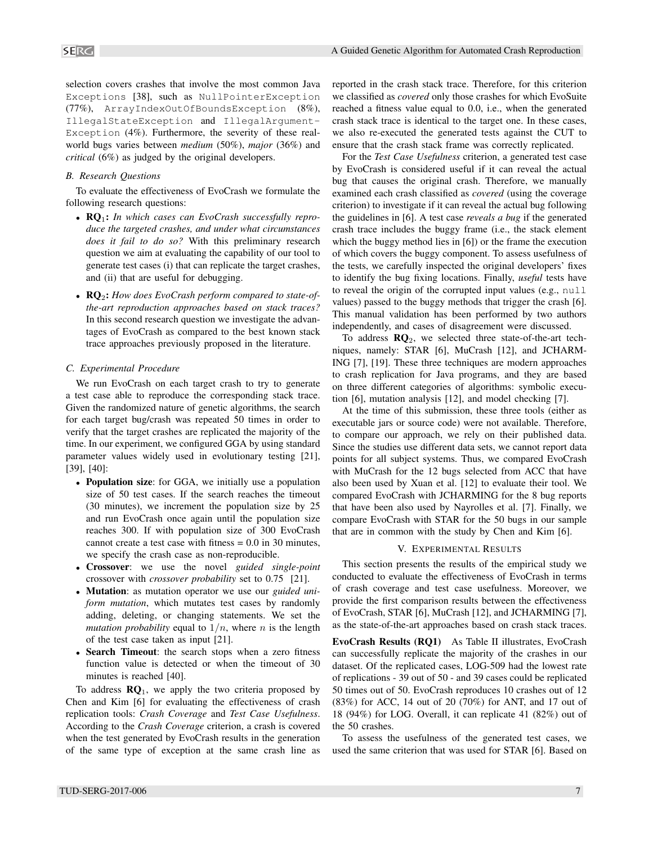selection covers crashes that involve the most common Java Exceptions [38], such as NullPointerException (77%), ArrayIndexOutOfBoundsException (8%), IllegalStateException and IllegalArgument-Exception (4%). Furthermore, the severity of these realworld bugs varies between *medium* (50%), *major* (36%) and *critical* (6%) as judged by the original developers.

#### *B. Research Questions*

To evaluate the effectiveness of EvoCrash we formulate the following research questions:

- RQ1: *In which cases can EvoCrash successfully reproduce the targeted crashes, and under what circumstances does it fail to do so?* With this preliminary research question we aim at evaluating the capability of our tool to generate test cases (i) that can replicate the target crashes, and (ii) that are useful for debugging.
- **RQ**<sub>2</sub>: *How does EvoCrash perform compared to state-ofthe-art reproduction approaches based on stack traces?* In this second research question we investigate the advantages of EvoCrash as compared to the best known stack trace approaches previously proposed in the literature.

#### *C. Experimental Procedure*

We run EvoCrash on each target crash to try to generate a test case able to reproduce the corresponding stack trace. Given the randomized nature of genetic algorithms, the search for each target bug/crash was repeated 50 times in order to verify that the target crashes are replicated the majority of the time. In our experiment, we configured GGA by using standard parameter values widely used in evolutionary testing [21], [39], [40]:

- Population size: for GGA, we initially use a population size of 50 test cases. If the search reaches the timeout (30 minutes), we increment the population size by 25 and run EvoCrash once again until the population size reaches 300. If with population size of 300 EvoCrash cannot create a test case with fitness  $= 0.0$  in 30 minutes, we specify the crash case as non-reproducible.
- Crossover: we use the novel *guided single-point* crossover with *crossover probability* set to 0.75 [21].
- Mutation: as mutation operator we use our *guided uniform mutation*, which mutates test cases by randomly adding, deleting, or changing statements. We set the *mutation probability* equal to  $1/n$ , where *n* is the length of the test case taken as input [21].
- Search Timeout: the search stops when a zero fitness function value is detected or when the timeout of 30 minutes is reached [40].

To address  $\mathbb{R}Q_1$ , we apply the two criteria proposed by Chen and Kim [6] for evaluating the effectiveness of crash replication tools: *Crash Coverage* and *Test Case Usefulness*. According to the *Crash Coverage* criterion, a crash is covered when the test generated by EvoCrash results in the generation of the same type of exception at the same crash line as reported in the crash stack trace. Therefore, for this criterion we classified as *covered* only those crashes for which EvoSuite reached a fitness value equal to 0.0, i.e., when the generated crash stack trace is identical to the target one. In these cases, we also re-executed the generated tests against the CUT to ensure that the crash stack frame was correctly replicated.

For the *Test Case Usefulness* criterion, a generated test case by EvoCrash is considered useful if it can reveal the actual bug that causes the original crash. Therefore, we manually examined each crash classified as *covered* (using the coverage criterion) to investigate if it can reveal the actual bug following the guidelines in [6]. A test case *reveals a bug* if the generated crash trace includes the buggy frame (i.e., the stack element which the buggy method lies in [6]) or the frame the execution of which covers the buggy component. To assess usefulness of the tests, we carefully inspected the original developers' fixes to identify the bug fixing locations. Finally, *useful* tests have to reveal the origin of the corrupted input values (e.g., null values) passed to the buggy methods that trigger the crash [6]. This manual validation has been performed by two authors independently, and cases of disagreement were discussed.

To address  $\mathbb{R}Q_2$ , we selected three state-of-the-art techniques, namely: STAR [6], MuCrash [12], and JCHARM-ING [7], [19]. These three techniques are modern approaches to crash replication for Java programs, and they are based on three different categories of algorithms: symbolic execution [6], mutation analysis [12], and model checking [7].

At the time of this submission, these three tools (either as executable jars or source code) were not available. Therefore, to compare our approach, we rely on their published data. Since the studies use different data sets, we cannot report data points for all subject systems. Thus, we compared EvoCrash with MuCrash for the 12 bugs selected from ACC that have also been used by Xuan et al. [12] to evaluate their tool. We compared EvoCrash with JCHARMING for the 8 bug reports that have been also used by Nayrolles et al. [7]. Finally, we compare EvoCrash with STAR for the 50 bugs in our sample that are in common with the study by Chen and Kim [6].

#### V. EXPERIMENTAL RESULTS

This section presents the results of the empirical study we conducted to evaluate the effectiveness of EvoCrash in terms of crash coverage and test case usefulness. Moreover, we provide the first comparison results between the effectiveness of EvoCrash, STAR [6], MuCrash [12], and JCHARMING [7], as the state-of-the-art approaches based on crash stack traces.

EvoCrash Results (RQ1) As Table II illustrates, EvoCrash can successfully replicate the majority of the crashes in our dataset. Of the replicated cases, LOG-509 had the lowest rate of replications - 39 out of 50 - and 39 cases could be replicated 50 times out of 50. EvoCrash reproduces 10 crashes out of 12 (83%) for ACC, 14 out of 20 (70%) for ANT, and 17 out of 18 (94%) for LOG. Overall, it can replicate 41 (82%) out of the 50 crashes.

To assess the usefulness of the generated test cases, we used the same criterion that was used for STAR [6]. Based on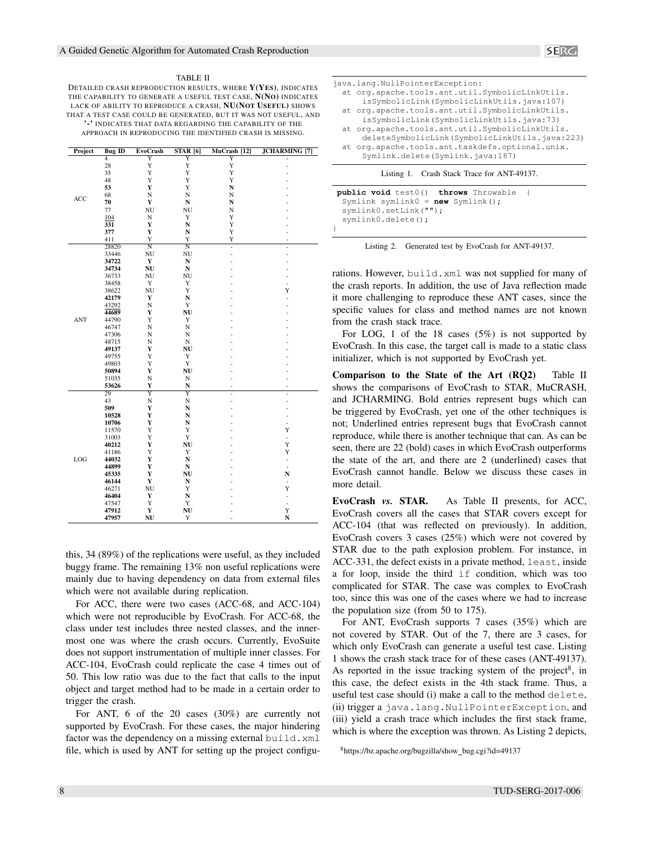#### TABLE II

DETAILED CRASH REPRODUCTION RESULTS, WHERE Y(YES), INDICATES THE CAPABILITY TO GENERATE A USEFUL TEST CASE, N(NO) INDICATES LACK OF ABILITY TO REPRODUCE A CRASH, NU(NOT USEFUL) SHOWS THAT A TEST CASE COULD BE GENERATED, BUT IT WAS NOT USEFUL, AND '-' INDICATES THAT DATA REGARDING THE CAPABILITY OF THE APPROACH IN REPRODUCING THE IDENTIFIED CRASH IS MISSING.

| Project    | <b>Bug ID</b>    | <b>EvoCrash</b>    | $STAR$ [6]            | MuCrash [12]   | <b>JCHARMING</b> [7]         |
|------------|------------------|--------------------|-----------------------|----------------|------------------------------|
|            | 4                | $\overline{Y}$     | Y                     | Y              |                              |
|            | 28               | Y                  | Y                     | Y              |                              |
|            | 35               | Y                  | Y                     | Y              |                              |
|            | 48               | Y                  | Y                     | Y              |                              |
|            | 53               | Y                  | Y                     | N              |                              |
| ACC        | 68               | N                  | N                     | N              |                              |
|            | 70               | $\mathbf Y$        | ${\bf N}$             | N              |                              |
|            | 77               | NU                 | $\rm N U$             | N              |                              |
|            | 104              | N                  | Y                     | Y              |                              |
|            | $\overline{331}$ | $\mathbf Y$        | N                     | Y              |                              |
|            | 377              | $\mathbf Y$        | $\mathbf N$           | Y              |                              |
|            | 411              | Y                  | Y                     | Y              | ÷,                           |
|            | 28820            | $\overline{\rm N}$ | $\overline{\text{N}}$ | $\overline{a}$ | $\overline{a}$               |
|            | 33446            | NU                 | <b>NU</b>             | $\overline{a}$ | ÷,                           |
|            | 34722            | $\mathbf Y$        | ${\bf N}$             |                |                              |
|            | 34734            | NU                 | N                     |                |                              |
|            | 36733            | NU                 | NU                    |                |                              |
|            | 38458            | Y<br>NU            | Y<br>Y                |                | $\frac{1}{2}$<br>Y           |
|            | 38622<br>42179   | $\mathbf Y$        | $\mathbf N$           |                |                              |
|            | 43292            | $\mathbf N$        | Y                     |                | $\overline{a}$               |
|            | 44689            | Y                  | NU                    |                |                              |
| <b>ANT</b> | 44790            | Y                  | Y                     |                |                              |
|            | 46747            | N                  | $_{\rm N}$            |                |                              |
|            | 47306            | N                  | $\mathbf N$           |                |                              |
|            | 48715            | N                  | $\mathbf N$           |                |                              |
|            | 49137            | Y                  | NU                    |                |                              |
|            | 49755            | Y                  | $\mathbf Y$           |                |                              |
|            | 49803            | Y                  | Y                     |                |                              |
|            | 50894            | Y                  | NU                    |                |                              |
|            | 51035            | N                  | N                     |                | -                            |
|            | 53626            | Y                  | N                     |                | ä,                           |
|            | 29               | Y                  | Y                     | $\overline{a}$ | ÷,                           |
|            | 43               | N                  | $_{\rm N}$            | $\overline{a}$ | $\overline{a}$               |
|            | 509              | Y                  | N                     |                | Ē,                           |
|            | 10528            | Y                  | N                     |                | ÷,                           |
|            | 10706            | Y                  | ${\bf N}$             |                | ÷                            |
|            | 11570            | Y                  | Y                     |                | Y                            |
|            | 31003            | Y                  | Y                     |                | ÷.                           |
|            | 40212            | Y                  | NU                    |                | Y                            |
|            | 41186            | Y                  | Y                     |                | Y                            |
| LOG        | 44032            | $\mathbf Y$        | N                     |                | $\overline{\phantom{a}}$     |
|            | 44899            | $\mathbf Y$        | ${\bf N}$             |                | ÷.                           |
|            | 45335            | Y                  | NU                    |                | $\mathbf N$                  |
|            | 46144            | $\mathbf Y$        | N                     |                | $\qquad \qquad \blacksquare$ |
|            | 46271            | NU                 | Y                     |                | Y                            |
|            | 46404            | Y                  | N                     |                | ÷,                           |
|            | 47547            | Y                  | Y                     |                | ÷                            |
|            | 47912            | $\mathbf Y$        | NU                    |                | Y                            |
|            | 47957            | NU                 | Y                     |                | N                            |

this, 34 (89%) of the replications were useful, as they included buggy frame. The remaining 13% non useful replications were mainly due to having dependency on data from external files which were not available during replication.

For ACC, there were two cases (ACC-68, and ACC-104) which were not reproducible by EvoCrash. For ACC-68, the class under test includes three nested classes, and the innermost one was where the crash occurs. Currently, EvoSuite does not support instrumentation of multiple inner classes. For ACC-104, EvoCrash could replicate the case 4 times out of 50. This low ratio was due to the fact that calls to the input object and target method had to be made in a certain order to trigger the crash.

For ANT, 6 of the 20 cases (30%) are currently not supported by EvoCrash. For these cases, the major hindering factor was the dependency on a missing external build.xml file, which is used by ANT for setting up the project configu-

| java.lang.NullPointerException:                 |
|-------------------------------------------------|
| at org.apache.tools.ant.util.SymbolicLinkUtils. |
| isSymbolicLink(SymbolicLinkUtils.java:107)      |
| at org.apache.tools.ant.util.SymbolicLinkUtils. |
| isSymbolicLink(SymbolicLinkUtils.java:73)       |
| at org.apache.tools.ant.util.SymbolicLinkUtils. |
| deleteSymbolicLink(SymbolicLinkUtils.java:223)  |
| at org.apache.tools.ant.taskdefs.optional.unix. |
| Symlink.delete(Symlink.java:187)                |
|                                                 |
| Crash Stack Trace for ANT-49137.<br>Listing     |

| public void test0() throws Throwable |  |
|--------------------------------------|--|
| Symlink symlink $0 = new$ Symlink(); |  |
| symlink0.setLink("");                |  |
| symlink0.delete();                   |  |
|                                      |  |

Listing 2. Generated test by EvoCrash for ANT-49137.

rations. However, build.xml was not supplied for many of the crash reports. In addition, the use of Java reflection made it more challenging to reproduce these ANT cases, since the specific values for class and method names are not known from the crash stack trace.

For LOG, 1 of the 18 cases (5%) is not supported by EvoCrash. In this case, the target call is made to a static class initializer, which is not supported by EvoCrash yet.

Comparison to the State of the Art (RQ2) Table II shows the comparisons of EvoCrash to STAR, MuCRASH, and JCHARMING. Bold entries represent bugs which can be triggered by EvoCrash, yet one of the other techniques is not; Underlined entries represent bugs that EvoCrash cannot reproduce, while there is another technique that can. As can be seen, there are 22 (bold) cases in which EvoCrash outperforms the state of the art, and there are 2 (underlined) cases that EvoCrash cannot handle. Below we discuss these cases in more detail.

EvoCrash *vs.* STAR. As Table II presents, for ACC, EvoCrash covers all the cases that STAR covers except for ACC-104 (that was reflected on previously). In addition, EvoCrash covers 3 cases (25%) which were not covered by STAR due to the path explosion problem. For instance, in ACC-331, the defect exists in a private method, least, inside a for loop, inside the third if condition, which was too complicated for STAR. The case was complex to EvoCrash too, since this was one of the cases where we had to increase the population size (from 50 to 175).

For ANT, EvoCrash supports 7 cases (35%) which are not covered by STAR. Out of the 7, there are 3 cases, for which only EvoCrash can generate a useful test case. Listing 1 shows the crash stack trace for of these cases (ANT-49137). As reported in the issue tracking system of the project<sup>8</sup>, in this case, the defect exists in the 4th stack frame. Thus, a useful test case should (i) make a call to the method delete, (ii) trigger a java.lang.NullPointerException, and (iii) yield a crash trace which includes the first stack frame, which is where the exception was thrown. As Listing 2 depicts,

<sup>8</sup>https://bz.apache.org/bugzilla/show bug.cgi?id=49137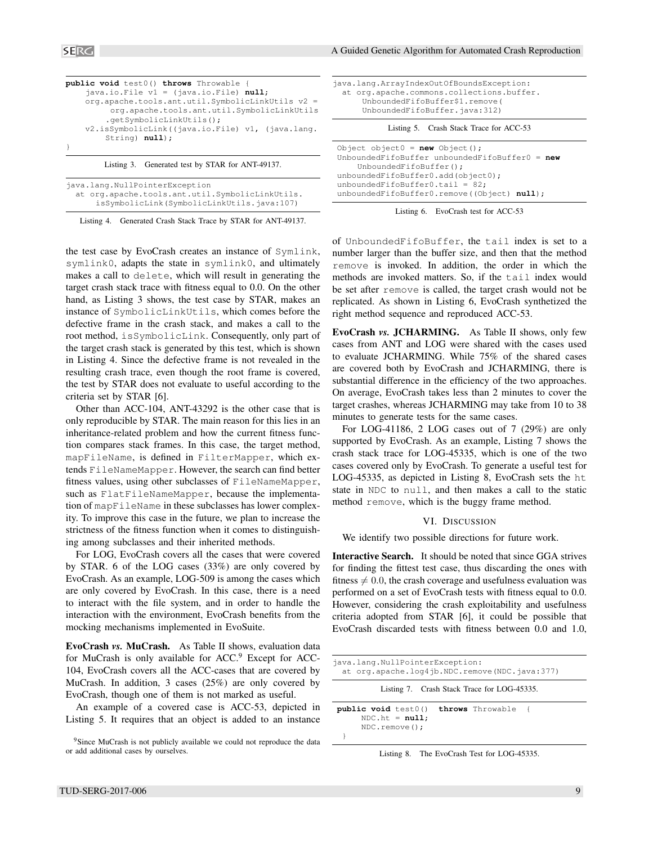| public void test0() throws Throwable {           |  |  |  |
|--------------------------------------------------|--|--|--|
| java.io. File $v1 = (java.io.file) null;$        |  |  |  |
| org.apache.tools.ant.util.SymbolicLinkUtils v2 = |  |  |  |
| org.apache.tools.ant.util.SymbolicLinkUtils      |  |  |  |
| .qetSymbolicLinkUtils();                         |  |  |  |
| v2.isSymbolicLink((java.io.File) v1, (java.lang. |  |  |  |
| String) null;                                    |  |  |  |
|                                                  |  |  |  |
| Listing 3. Generated test by STAR for ANT-49137. |  |  |  |

java.lang.NullPointerException at org.apache.tools.ant.util.SymbolicLinkUtils. isSymbolicLink(SymbolicLinkUtils.java:107)

Listing 4. Generated Crash Stack Trace by STAR for ANT-49137.

the test case by EvoCrash creates an instance of Symlink, symlink0, adapts the state in symlink0, and ultimately makes a call to delete, which will result in generating the target crash stack trace with fitness equal to 0.0. On the other hand, as Listing 3 shows, the test case by STAR, makes an instance of SymbolicLinkUtils, which comes before the defective frame in the crash stack, and makes a call to the root method, isSymbolicLink. Consequently, only part of the target crash stack is generated by this test, which is shown in Listing 4. Since the defective frame is not revealed in the resulting crash trace, even though the root frame is covered, the test by STAR does not evaluate to useful according to the criteria set by STAR [6].

Other than ACC-104, ANT-43292 is the other case that is only reproducible by STAR. The main reason for this lies in an inheritance-related problem and how the current fitness function compares stack frames. In this case, the target method, mapFileName, is defined in FilterMapper, which extends FileNameMapper. However, the search can find better fitness values, using other subclasses of FileNameMapper, such as FlatFileNameMapper, because the implementation of mapFileName in these subclasses has lower complexity. To improve this case in the future, we plan to increase the strictness of the fitness function when it comes to distinguishing among subclasses and their inherited methods.

For LOG, EvoCrash covers all the cases that were covered by STAR. 6 of the LOG cases (33%) are only covered by EvoCrash. As an example, LOG-509 is among the cases which are only covered by EvoCrash. In this case, there is a need to interact with the file system, and in order to handle the interaction with the environment, EvoCrash benefits from the mocking mechanisms implemented in EvoSuite.

EvoCrash *vs.* MuCrash. As Table II shows, evaluation data for MuCrash is only available for  $ACC<sup>9</sup>$  Except for ACC-104, EvoCrash covers all the ACC-cases that are covered by MuCrash. In addition, 3 cases (25%) are only covered by EvoCrash, though one of them is not marked as useful.

An example of a covered case is ACC-53, depicted in Listing 5. It requires that an object is added to an instance

| java.lang.ArrayIndexOutOfBoundsException: |
|-------------------------------------------|
| at org.apache.commons.collections.buffer. |
| UnboundedFifoBuffer\$1.remove(            |
| UnboundedFifoBuffer.java:312)             |
|                                           |

Listing 5. Crash Stack Trace for ACC-53

| Object object0 = $new$ Object();                  |
|---------------------------------------------------|
| UnboundedFifoBuffer unboundedFifoBuffer $0 = new$ |
| UnboundedFifoBuffer();                            |
| unboundedFifoBuffer0.add(object0);                |
| unboundedFifoBuffer0.tail = $82$ ;                |
| unboundedFifoBuffer0.remove((Object) null);       |



of UnboundedFifoBuffer, the tail index is set to a number larger than the buffer size, and then that the method remove is invoked. In addition, the order in which the methods are invoked matters. So, if the tail index would be set after remove is called, the target crash would not be replicated. As shown in Listing 6, EvoCrash synthetized the right method sequence and reproduced ACC-53.

EvoCrash *vs.* JCHARMING. As Table II shows, only few cases from ANT and LOG were shared with the cases used to evaluate JCHARMING. While 75% of the shared cases are covered both by EvoCrash and JCHARMING, there is substantial difference in the efficiency of the two approaches. On average, EvoCrash takes less than 2 minutes to cover the target crashes, whereas JCHARMING may take from 10 to 38 minutes to generate tests for the same cases.

For LOG-41186, 2 LOG cases out of 7 (29%) are only supported by EvoCrash. As an example, Listing 7 shows the crash stack trace for LOG-45335, which is one of the two cases covered only by EvoCrash. To generate a useful test for LOG-45335, as depicted in Listing 8, EvoCrash sets the ht state in NDC to null, and then makes a call to the static method remove, which is the buggy frame method.

#### VI. DISCUSSION

We identify two possible directions for future work.

Interactive Search. It should be noted that since GGA strives for finding the fittest test case, thus discarding the ones with fitness  $\neq 0.0$ , the crash coverage and usefulness evaluation was performed on a set of EvoCrash tests with fitness equal to 0.0. However, considering the crash exploitability and usefulness criteria adopted from STAR [6], it could be possible that EvoCrash discarded tests with fitness between 0.0 and 1.0,

| java.lang.NullPointerException:<br>at org.apache.log4jb.NDC.remove(NDC.java:377)              |
|-----------------------------------------------------------------------------------------------|
| Listing 7. Crash Stack Trace for LOG-45335.                                                   |
| <b>public void</b> test0() throws Throwable {<br>$NDC.$ ht = $null;$<br>$NDC$ . remove $()$ ; |
|                                                                                               |

Listing 8. The EvoCrash Test for LOG-45335.

<sup>&</sup>lt;sup>9</sup>Since MuCrash is not publicly available we could not reproduce the data or add additional cases by ourselves.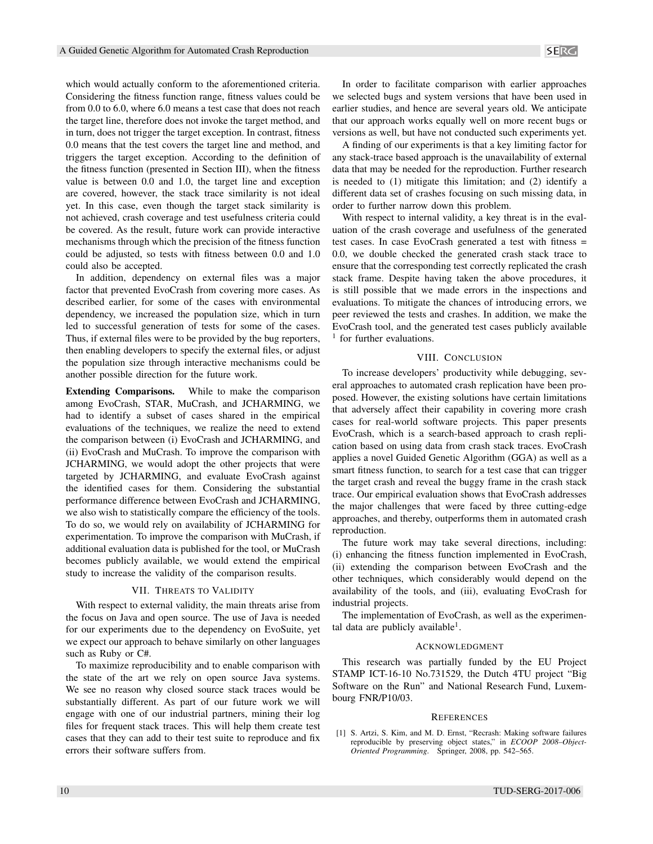Considering the fitness function range, fitness values could be from 0.0 to 6.0, where 6.0 means a test case that does not reach the target line, therefore does not invoke the target method, and in turn, does not trigger the target exception. In contrast, fitness 0.0 means that the test covers the target line and method, and triggers the target exception. According to the definition of the fitness function (presented in Section III), when the fitness value is between 0.0 and 1.0, the target line and exception are covered, however, the stack trace similarity is not ideal yet. In this case, even though the target stack similarity is not achieved, crash coverage and test usefulness criteria could be covered. As the result, future work can provide interactive mechanisms through which the precision of the fitness function could be adjusted, so tests with fitness between 0.0 and 1.0

In addition, dependency on external files was a major factor that prevented EvoCrash from covering more cases. As described earlier, for some of the cases with environmental dependency, we increased the population size, which in turn led to successful generation of tests for some of the cases. Thus, if external files were to be provided by the bug reporters, then enabling developers to specify the external files, or adjust the population size through interactive mechanisms could be another possible direction for the future work.

could also be accepted.

Extending Comparisons. While to make the comparison among EvoCrash, STAR, MuCrash, and JCHARMING, we had to identify a subset of cases shared in the empirical evaluations of the techniques, we realize the need to extend the comparison between (i) EvoCrash and JCHARMING, and (ii) EvoCrash and MuCrash. To improve the comparison with JCHARMING, we would adopt the other projects that were targeted by JCHARMING, and evaluate EvoCrash against the identified cases for them. Considering the substantial performance difference between EvoCrash and JCHARMING, we also wish to statistically compare the efficiency of the tools. To do so, we would rely on availability of JCHARMING for experimentation. To improve the comparison with MuCrash, if additional evaluation data is published for the tool, or MuCrash becomes publicly available, we would extend the empirical study to increase the validity of the comparison results.

#### VII. THREATS TO VALIDITY

With respect to external validity, the main threats arise from the focus on Java and open source. The use of Java is needed for our experiments due to the dependency on EvoSuite, yet we expect our approach to behave similarly on other languages such as Ruby or C#.

To maximize reproducibility and to enable comparison with the state of the art we rely on open source Java systems. We see no reason why closed source stack traces would be substantially different. As part of our future work we will engage with one of our industrial partners, mining their log files for frequent stack traces. This will help them create test cases that they can add to their test suite to reproduce and fix errors their software suffers from.

In order to facilitate comparison with earlier approaches we selected bugs and system versions that have been used in earlier studies, and hence are several years old. We anticipate that our approach works equally well on more recent bugs or versions as well, but have not conducted such experiments yet.

A finding of our experiments is that a key limiting factor for any stack-trace based approach is the unavailability of external data that may be needed for the reproduction. Further research is needed to (1) mitigate this limitation; and (2) identify a different data set of crashes focusing on such missing data, in order to further narrow down this problem.

With respect to internal validity, a key threat is in the evaluation of the crash coverage and usefulness of the generated test cases. In case EvoCrash generated a test with fitness = 0.0, we double checked the generated crash stack trace to ensure that the corresponding test correctly replicated the crash stack frame. Despite having taken the above procedures, it is still possible that we made errors in the inspections and evaluations. To mitigate the chances of introducing errors, we peer reviewed the tests and crashes. In addition, we make the EvoCrash tool, and the generated test cases publicly available 1 for further evaluations.

#### VIII. CONCLUSION

To increase developers' productivity while debugging, several approaches to automated crash replication have been proposed. However, the existing solutions have certain limitations that adversely affect their capability in covering more crash cases for real-world software projects. This paper presents EvoCrash, which is a search-based approach to crash replication based on using data from crash stack traces. EvoCrash applies a novel Guided Genetic Algorithm (GGA) as well as a smart fitness function, to search for a test case that can trigger the target crash and reveal the buggy frame in the crash stack trace. Our empirical evaluation shows that EvoCrash addresses the major challenges that were faced by three cutting-edge approaches, and thereby, outperforms them in automated crash reproduction.

The future work may take several directions, including: (i) enhancing the fitness function implemented in EvoCrash, (ii) extending the comparison between EvoCrash and the other techniques, which considerably would depend on the availability of the tools, and (iii), evaluating EvoCrash for industrial projects.

The implementation of EvoCrash, as well as the experimental data are publicly available<sup>1</sup>.

#### ACKNOWLEDGMENT

This research was partially funded by the EU Project STAMP ICT-16-10 No.731529, the Dutch 4TU project "Big Software on the Run" and National Research Fund, Luxembourg FNR/P10/03.

#### **REFERENCES**

[1] S. Artzi, S. Kim, and M. D. Ernst, "Recrash: Making software failures reproducible by preserving object states," in *ECOOP 2008–Object-Oriented Programming*. Springer, 2008, pp. 542–565.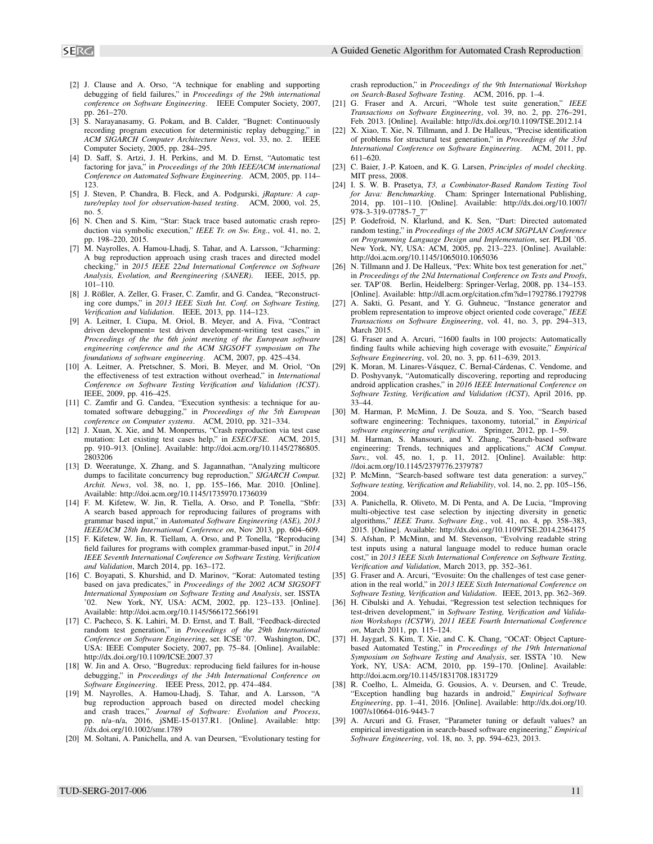- 
- [2] J. Clause and A. Orso, "A technique for enabling and supporting debugging of field failures," in *Proceedings of the 29th international conference on Software Engineering*. IEEE Computer Society, 2007, pp. 261–270.
- [3] S. Narayanasamy, G. Pokam, and B. Calder, "Bugnet: Continuously recording program execution for deterministic replay debugging," in *ACM SIGARCH Computer Architecture News*, vol. 33, no. 2. IEEE Computer Society, 2005, pp. 284–295.
- [4] D. Saff, S. Artzi, J. H. Perkins, and M. D. Ernst, "Automatic test factoring for java," in *Proceedings of the 20th IEEE/ACM international Conference on Automated Software Engineering*. ACM, 2005, pp. 114– 123.
- [5] J. Steven, P. Chandra, B. Fleck, and A. Podgurski, *jRapture: A capture/replay tool for observation-based testing*. ACM, 2000, vol. 25, no. 5.
- [6] N. Chen and S. Kim, "Star: Stack trace based automatic crash reproduction via symbolic execution," *IEEE Tr. on Sw. Eng.*, vol. 41, no. 2, pp. 198–220, 2015.
- [7] M. Nayrolles, A. Hamou-Lhadj, S. Tahar, and A. Larsson, "Jcharming: A bug reproduction approach using crash traces and directed model checking," in *2015 IEEE 22nd International Conference on Software Analysis, Evolution, and Reengineering (SANER)*. IEEE, 2015, pp. 101–110.
- [8] J. Rößler, A. Zeller, G. Fraser, C. Zamfir, and G. Candea, "Reconstructing core dumps," in *2013 IEEE Sixth Int. Conf. on Software Testing, Verification and Validation*. IEEE, 2013, pp. 114–123.
- A. Leitner, I. Ciupa, M. Oriol, B. Meyer, and A. Fiva, "Contract driven development= test driven development-writing test cases," in *Proceedings of the the 6th joint meeting of the European software engineering conference and the ACM SIGSOFT symposium on The foundations of software engineering*. ACM, 2007, pp. 425–434.
- [10] A. Leitner, A. Pretschner, S. Mori, B. Meyer, and M. Oriol, "On the effectiveness of test extraction without overhead," in *International Conference on Software Testing Verification and Validation (ICST)*. IEEE, 2009, pp. 416–425.
- [11] C. Zamfir and G. Candea, "Execution synthesis: a technique for automated software debugging," in *Proceedings of the 5th European conference on Computer systems*. ACM, 2010, pp. 321–334.
- [12] J. Xuan, X. Xie, and M. Monperrus, "Crash reproduction via test case mutation: Let existing test cases help," in *ESEC/FSE*. ACM, 2015, pp. 910–913. [Online]. Available: http://doi.acm.org/10.1145/2786805. 2803206
- [13] D. Weeratunge, X. Zhang, and S. Jagannathan, "Analyzing multicore dumps to facilitate concurrency bug reproduction," *SIGARCH Comput. Archit. News*, vol. 38, no. 1, pp. 155–166, Mar. 2010. [Online]. Available: http://doi.acm.org/10.1145/1735970.1736039
- [14] F. M. Kifetew, W. Jin, R. Tiella, A. Orso, and P. Tonella, "Sbfr: A search based approach for reproducing failures of programs with grammar based input," in *Automated Software Engineering (ASE), 2013 IEEE/ACM 28th International Conference on*, Nov 2013, pp. 604–609.
- [15] F. Kifetew, W. Jin, R. Tiellam, A. Orso, and P. Tonella, "Reproducing field failures for programs with complex grammar-based input," in *2014 IEEE Seventh International Conference on Software Testing, Verification and Validation*, March 2014, pp. 163–172.
- [16] C. Boyapati, S. Khurshid, and D. Marinov, "Korat: Automated testing based on java predicates," in *Proceedings of the 2002 ACM SIGSOFT International Symposium on Software Testing and Analysis*, ser. ISSTA '02. New York, NY, USA: ACM, 2002, pp. 123–133. [Online]. Available: http://doi.acm.org/10.1145/566172.566191 SING  $\frac{1}{100}$  Courses of Alexander Alexander Courses of Alexander Courses of Alexander Courses of Alexander Courses of Alexander Courses of Alexander Courses of Alexander Courses of Alexander Courses of Alexander Cours
- [17] C. Pacheco, S. K. Lahiri, M. D. Ernst, and T. Ball, "Feedback-directed random test generation," in *Proceedings of the 29th International Conference on Software Engineering*, ser. ICSE '07. Washington, DC, USA: IEEE Computer Society, 2007, pp. 75–84. [Online]. Available: http://dx.doi.org/10.1109/ICSE.2007.37
- [18] W. Jin and A. Orso, "Bugredux: reproducing field failures for in-house debugging," in *Proceedings of the 34th International Conference on Software Engineering*. IEEE Press, 2012, pp. 474–484.
- [19] M. Nayrolles, A. Hamou-Lhadj, S. Tahar, and A. Larsson, "A bug reproduction approach based on directed model checking and crash traces," *Journal of Software: Evolution and Process*, pp. n/a–n/a, 2016, jSME-15-0137.R1. [Online]. Available: http: //dx.doi.org/10.1002/smr.1789
- [20] M. Soltani, A. Panichella, and A. van Deursen, "Evolutionary testing for

crash reproduction," in *Proceedings of the 9th International Workshop on Search-Based Software Testing*. ACM, 2016, pp. 1–4.

- [21] G. Fraser and A. Arcuri, "Whole test suite generation," *IEEE Transactions on Software Engineering*, vol. 39, no. 2, pp. 276–291, Feb. 2013. [Online]. Available: http://dx.doi.org/10.1109/TSE.2012.14
- [22] X. Xiao, T. Xie, N. Tillmann, and J. De Halleux, "Precise identification of problems for structural test generation," in *Proceedings of the 33rd International Conference on Software Engineering*. ACM, 2011, pp. 611–620.
- [23] C. Baier, J.-P. Katoen, and K. G. Larsen, *Principles of model checking*. MIT press, 2008.
- [24] I. S. W. B. Prasetya, *T3, a Combinator-Based Random Testing Tool for Java: Benchmarking*. Cham: Springer International Publishing, 2014, pp. 101–110. [Online]. Available: http://dx.doi.org/10.1007/ 978-3-319-07785-7 7"
- [25] P. Godefroid, N. Klarlund, and K. Sen, "Dart: Directed automated random testing," in *Proceedings of the 2005 ACM SIGPLAN Conference on Programming Language Design and Implementation*, ser. PLDI '05. New York, NY, USA: ACM, 2005, pp. 213–223. [Online]. Available: http://doi.acm.org/10.1145/1065010.1065036
- [26] N. Tillmann and J. De Halleux, "Pex: White box test generation for .net," in *Proceedings of the 2Nd International Conference on Tests and Proofs*, ser. TAP'08. Berlin, Heidelberg: Springer-Verlag, 2008, pp. 134–153. [Online]. Available: http://dl.acm.org/citation.cfm?id=1792786.1792798
- [27] A. Sakti, G. Pesant, and Y. G. Guhneuc, "Instance generator and problem representation to improve object oriented code coverage," *IEEE Transactions on Software Engineering*, vol. 41, no. 3, pp. 294–313, March 2015.
- [28] G. Fraser and A. Arcuri, "1600 faults in 100 projects: Automatically finding faults while achieving high coverage with evosuite," *Empirical Software Engineering*, vol. 20, no. 3, pp. 611–639, 2013.
- [29] K. Moran, M. Linares-Vásquez, C. Bernal-Cárdenas, C. Vendome, and D. Poshyvanyk, "Automatically discovering, reporting and reproducing android application crashes," in *2016 IEEE International Conference on Software Testing, Verification and Validation (ICST)*, April 2016, pp. 33–44.
- [30] M. Harman, P. McMinn, J. De Souza, and S. Yoo, "Search based software engineering: Techniques, taxonomy, tutorial," in *Empirical software engineering and verification*. Springer, 2012, pp. 1–59.
- [31] M. Harman, S. Mansouri, and Y. Zhang, "Search-based software engineering: Trends, techniques and applications," *ACM Comput. Surv.*, vol. 45, no. 1, p. 11, 2012. [Online]. Available: http: //doi.acm.org/10.1145/2379776.2379787
- [32] P. McMinn, "Search-based software test data generation: a survey," *Software testing, Verification and Reliability*, vol. 14, no. 2, pp. 105–156, 2004.
- [33] A. Panichella, R. Oliveto, M. Di Penta, and A. De Lucia, "Improving multi-objective test case selection by injecting diversity in genetic algorithms," *IEEE Trans. Software Eng.*, vol. 41, no. 4, pp. 358–383, 2015. [Online]. Available: http://dx.doi.org/10.1109/TSE.2014.2364175
- [34] S. Afshan, P. McMinn, and M. Stevenson, "Evolving readable string test inputs using a natural language model to reduce human oracle cost," in *2013 IEEE Sixth International Conference on Software Testing, Verification and Validation*, March 2013, pp. 352–361.
- [35] G. Fraser and A. Arcuri, "Evosuite: On the challenges of test case generation in the real world," in *2013 IEEE Sixth International Conference on Software Testing, Verification and Validation*. IEEE, 2013, pp. 362–369.
- [36] H. Cibulski and A. Yehudai, "Regression test selection techniques for test-driven development," in *Software Testing, Verification and Validation Workshops (ICSTW), 2011 IEEE Fourth International Conference on*, March 2011, pp. 115–124.
- [37] H. Jaygarl, S. Kim, T. Xie, and C. K. Chang, "OCAT: Object Capturebased Automated Testing," in *Proceedings of the 19th International Symposium on Software Testing and Analysis*, ser. ISSTA '10. New York, NY, USA: ACM, 2010, pp. 159–170. [Online]. Available: http://doi.acm.org/10.1145/1831708.1831729
- [38] R. Coelho, L. Almeida, G. Gousios, A. v. Deursen, and C. Treude, "Exception handling bug hazards in android," *Empirical Software Engineering*, pp. 1–41, 2016. [Online]. Available: http://dx.doi.org/10. 1007/s10664-016-9443-7
- [39] A. Arcuri and G. Fraser, "Parameter tuning or default values? an empirical investigation in search-based software engineering," *Empirical*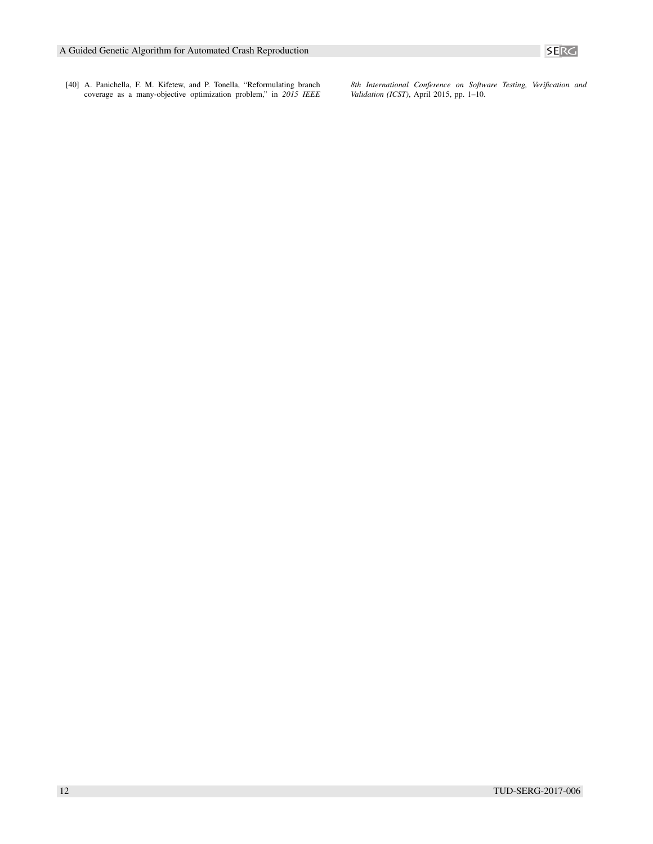

[40] A. Panichella, F. M. Kifetew, and P. Tonella, "Reformulating branch coverage as a many-objective optimization problem," in *2015 IEEE* *8th International Conference on Software Testing, Verification and Validation (ICST)*, April 2015, pp. 1–10.